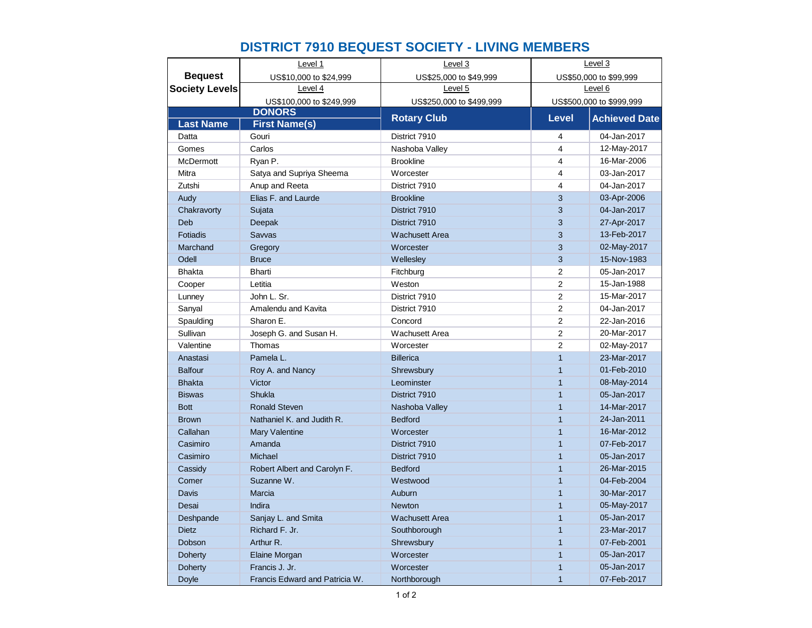|                       | Level 1                        | Level 3                  | Level 3                  |                        |
|-----------------------|--------------------------------|--------------------------|--------------------------|------------------------|
| <b>Beguest</b>        | US\$10,000 to \$24,999         | US\$25,000 to \$49,999   |                          | US\$50,000 to \$99,999 |
| <b>Society Levels</b> | Level 4                        | Level 5                  | Level 6                  |                        |
|                       | US\$100,000 to \$249,999       | US\$250,000 to \$499,999 | US\$500,000 to \$999,999 |                        |
|                       | <b>DONORS</b>                  | <b>Rotary Club</b>       | <b>Level</b>             | <b>Achieved Date</b>   |
| <b>Last Name</b>      | <b>First Name(s)</b>           |                          |                          |                        |
| Datta                 | Gouri                          | District 7910            | 4                        | 04-Jan-2017            |
| Gomes                 | Carlos                         | Nashoba Valley           | 4                        | 12-May-2017            |
| <b>McDermott</b>      | Ryan P.                        | <b>Brookline</b>         | 4                        | 16-Mar-2006            |
| Mitra                 | Satya and Supriya Sheema       | Worcester                | 4                        | 03-Jan-2017            |
| Zutshi                | Anup and Reeta                 | District 7910            | 4                        | 04-Jan-2017            |
| Audy                  | Elias F. and Laurde            | <b>Brookline</b>         | 3                        | 03-Apr-2006            |
| Chakravorty           | Sujata                         | District 7910            | 3                        | 04-Jan-2017            |
| Deb                   | Deepak                         | District 7910            | 3                        | 27-Apr-2017            |
| <b>Fotiadis</b>       | Sawas                          | <b>Wachusett Area</b>    | 3                        | 13-Feb-2017            |
| Marchand              | Gregory                        | Worcester                | 3                        | 02-May-2017            |
| Odell                 | <b>Bruce</b>                   | Wellesley                | 3                        | 15-Nov-1983            |
| <b>Bhakta</b>         | <b>Bharti</b>                  | Fitchburg                | $\overline{c}$           | 05-Jan-2017            |
| Cooper                | Letitia                        | Weston                   | $\overline{2}$           | 15-Jan-1988            |
| Lunney                | John L. Sr.                    | District 7910            | $\overline{c}$           | 15-Mar-2017            |
| Sanyal                | Amalendu and Kavita            | District 7910            | $\overline{c}$           | 04-Jan-2017            |
| Spaulding             | Sharon E.                      | Concord                  | $\overline{c}$           | 22-Jan-2016            |
| Sullivan              | Joseph G. and Susan H.         | <b>Wachusett Area</b>    | $\overline{2}$           | 20-Mar-2017            |
| Valentine             | Thomas                         | Worcester                | $\overline{2}$           | 02-May-2017            |
| Anastasi              | Pamela L.                      | <b>Billerica</b>         | $\mathbf{1}$             | 23-Mar-2017            |
| <b>Balfour</b>        | Roy A. and Nancy               | Shrewsbury               | $\overline{1}$           | 01-Feb-2010            |
| <b>Bhakta</b>         | Victor                         | Leominster               | $\mathbf{1}$             | 08-May-2014            |
| <b>Biswas</b>         | Shukla                         | District 7910            | $\mathbf{1}$             | 05-Jan-2017            |
| <b>Bott</b>           | <b>Ronald Steven</b>           | Nashoba Valley           | $\mathbf{1}$             | 14-Mar-2017            |
| <b>Brown</b>          | Nathaniel K. and Judith R.     | <b>Bedford</b>           | $\mathbf{1}$             | 24-Jan-2011            |
| Callahan              | Mary Valentine                 | Worcester                | $\mathbf{1}$             | 16-Mar-2012            |
| Casimiro              | Amanda                         | District 7910            | $\mathbf{1}$             | 07-Feb-2017            |
| Casimiro              | Michael                        | District 7910            | $\mathbf{1}$             | 05-Jan-2017            |
| Cassidy               | Robert Albert and Carolyn F.   | <b>Bedford</b>           | $\mathbf{1}$             | 26-Mar-2015            |
| Comer                 | Suzanne W.                     | Westwood                 | $\mathbf{1}$             | 04-Feb-2004            |
| Davis                 | Marcia                         | Auburn                   | $\mathbf{1}$             | 30-Mar-2017            |
| Desai                 | Indira                         | <b>Newton</b>            | $\mathbf{1}$             | 05-May-2017            |
| Deshpande             | Sanjay L. and Smita            | <b>Wachusett Area</b>    | $\mathbf{1}$             | 05-Jan-2017            |
| <b>Dietz</b>          | Richard F. Jr.                 | Southborough             | $\overline{1}$           | 23-Mar-2017            |
| Dobson                | Arthur R.                      | Shrewsbury               | $\mathbf{1}$             | 07-Feb-2001            |
| <b>Doherty</b>        | Elaine Morgan                  | Worcester                | $\mathbf{1}$             | 05-Jan-2017            |
| <b>Doherty</b>        | Francis J. Jr.                 | Worcester                | $\overline{1}$           | 05-Jan-2017            |
| Doyle                 | Francis Edward and Patricia W. | Northborough             | $\mathbf{1}$             | 07-Feb-2017            |

## **DISTRICT 7910 BEQUEST SOCIETY - LIVING MEMBERS**